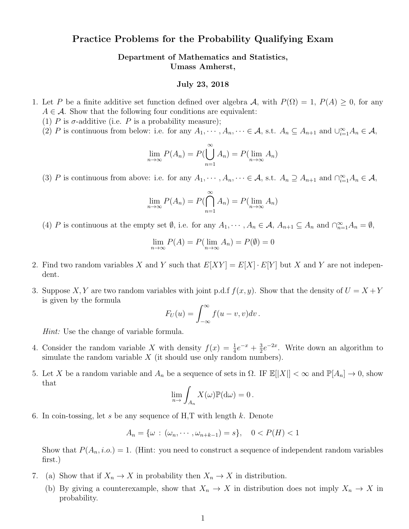## Practice Problems for the Probability Qualifying Exam

Department of Mathematics and Statistics, Umass Amherst,

## July 23, 2018

- 1. Let P be a finite additive set function defined over algebra A, with  $P(\Omega) = 1$ ,  $P(A) \geq 0$ , for any  $A \in \mathcal{A}$ . Show that the following four conditions are equivalent:
	- (1)  $P$  is  $\sigma$ -additive (i.e.  $P$  is a probability measure);
	- (2) P is continuous from below: i.e. for any  $A_1, \dots, A_n, \dots \in \mathcal{A}$ , s.t.  $A_n \subseteq A_{n+1}$  and  $\bigcup_{i=1}^{\infty} A_n \in \mathcal{A}$ ,

$$
\lim_{n \to \infty} P(A_n) = P(\bigcup_{n=1}^{\infty} A_n) = P(\lim_{n \to \infty} A_n)
$$

(3) P is continuous from above: i.e. for any  $A_1, \dots, A_n, \dots \in \mathcal{A}$ , s.t.  $A_n \supseteq A_{n+1}$  and  $\bigcap_{i=1}^{\infty} A_n \in \mathcal{A}$ ,

$$
\lim_{n \to \infty} P(A_n) = P(\bigcap_{n=1}^{\infty} A_n) = P(\lim_{n \to \infty} A_n)
$$

(4) P is continuous at the empty set  $\emptyset$ , i.e. for any  $A_1, \dots, A_n \in \mathcal{A}$ ,  $A_{n+1} \subseteq A_n$  and  $\bigcap_{n=1}^{\infty} A_n = \emptyset$ ,

$$
\lim_{n \to \infty} P(A) = P(\lim_{n \to \infty} A_n) = P(\emptyset) = 0
$$

- 2. Find two random variables X and Y such that  $E[XY] = E[X] \cdot E[Y]$  but X and Y are not independent.
- 3. Suppose X, Y are two random variables with joint p.d.f  $f(x, y)$ . Show that the density of  $U = X + Y$ is given by the formula

$$
F_U(u) = \int_{-\infty}^{\infty} f(u - v, v) dv.
$$

Hint: Use the change of variable formula.

- 4. Consider the random variable X with density  $f(x) = \frac{1}{4}e^{-x} + \frac{3}{2}$  $\frac{3}{2}e^{-2x}$ . Write down an algorithm to simulate the random variable  $X$  (it should use only random numbers).
- 5. Let X be a random variable and  $A_n$  be a sequence of sets in  $\Omega$ . IF  $\mathbb{E}[|X|] < \infty$  and  $\mathbb{P}[A_n] \to 0$ , show that

$$
\lim_{n\to}\int_{A_n}X(\omega)\mathbb{P}(\mathrm{d}\omega)=0.
$$

6. In coin-tossing, let s be any sequence of H,T with length  $k$ . Denote

$$
A_n = \{ \omega : (\omega_n, \cdots, \omega_{n+k-1}) = s \}, \quad 0 < P(H) < 1
$$

Show that  $P(A_n, i.o.) = 1$ . (Hint: you need to construct a sequence of independent random variables first.)

- 7. (a) Show that if  $X_n \to X$  in probability then  $X_n \to X$  in distribution.
	- (b) By giving a counterexample, show that  $X_n \to X$  in distribution does not imply  $X_n \to X$  in probability.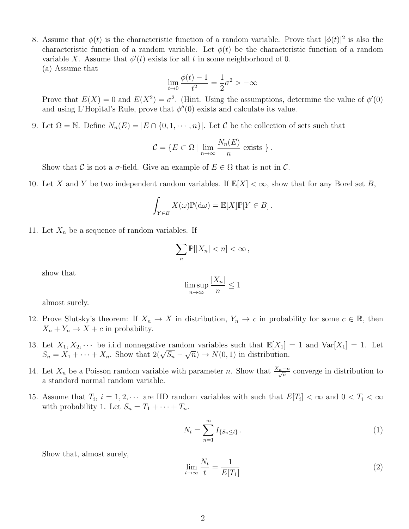8. Assume that  $\phi(t)$  is the characteristic function of a random variable. Prove that  $|\phi(t)|^2$  is also the characteristic function of a random variable. Let  $\phi(t)$  be the characteristic function of a random variable X. Assume that  $\phi'(t)$  exists for all t in some neighborhood of 0. (a) Assume that

$$
\lim_{t \to 0} \frac{\phi(t) - 1}{t^2} = \frac{1}{2}\sigma^2 > -\infty
$$

Prove that  $E(X) = 0$  and  $E(X^2) = \sigma^2$ . (Hint. Using the assumptions, determine the value of  $\phi'(0)$ ) and using L'Hopital's Rule, prove that  $\phi''(0)$  exists and calculate its value.

9. Let  $\Omega = \mathbb{N}$ . Define  $N_n(E) = |E \cap \{0, 1, \dots, n\}|$ . Let C be the collection of sets such that

$$
C = \{ E \subset \Omega \mid \lim_{n \to \infty} \frac{N_n(E)}{n} \text{ exists } \}.
$$

Show that C is not a  $\sigma$ -field. Give an example of  $E \in \Omega$  that is not in C.

10. Let X and Y be two independent random variables. If  $\mathbb{E}[X] < \infty$ , show that for any Borel set B,

$$
\int_{Y \in B} X(\omega) \mathbb{P}(\mathrm{d}\omega) = \mathbb{E}[X] \mathbb{P}[Y \in B].
$$

11. Let  $X_n$  be a sequence of random variables. If

$$
\sum_n \mathbb{P}[|X_n| < n] < \infty \,,
$$

show that

$$
\limsup_{n \to \infty} \frac{|X_n|}{n} \le 1
$$

almost surely.

- 12. Prove Slutsky's theorem: If  $X_n \to X$  in distribution,  $Y_n \to c$  in probability for some  $c \in \mathbb{R}$ , then  $X_n + Y_n \to X + c$  in probability.
- 13. Let  $X_1, X_2, \cdots$  be i.i.d nonnegative random variables such that  $\mathbb{E}[X_1] = 1$  and  $\text{Var}[X_1] = 1$ . Let Let  $X_1, X_2, \dots$  be i.i.d nonnegative random variables such that  $\mathbb{E}[X_1]$ .<br>  $S_n = X_1 + \dots + X_n$ . Show that  $2(\sqrt{S_n} - \sqrt{n}) \to N(0, 1)$  in distribution.
- 14. Let  $X_n$  be a Poisson random variable with parameter n. Show that  $\frac{X_n-n}{\sqrt{n}}$  converge in distribution to a standard normal random variable.
- 15. Assume that  $T_i$ ,  $i = 1, 2, \cdots$  are IID random variables with such that  $E[T_i] < \infty$  and  $0 < T_i < \infty$ with probability 1. Let  $S_n = T_1 + \cdots + T_n$ .

$$
N_t = \sum_{n=1}^{\infty} I_{\{S_n \le t\}}.
$$
\n
$$
(1)
$$

Show that, almost surely,

$$
\lim_{t \to \infty} \frac{N_t}{t} = \frac{1}{E[T_1]}
$$
\n(2)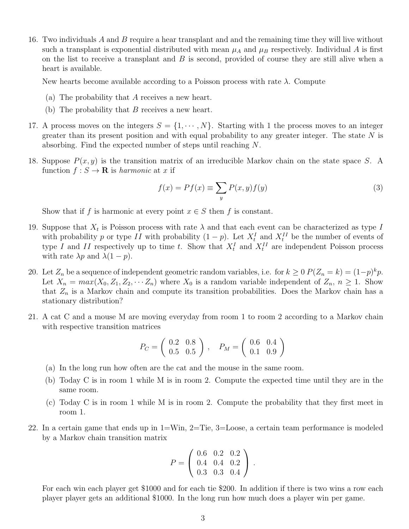16. Two individuals A and B require a hear transplant and and the remaining time they will live without such a transplant is exponential distributed with mean  $\mu_A$  and  $\mu_B$  respectively. Individual A is first on the list to receive a transplant and  $B$  is second, provided of course they are still alive when a heart is available.

New hearts become available according to a Poisson process with rate  $\lambda$ . Compute

- (a) The probability that A receives a new heart.
- (b) The probability that  $B$  receives a new heart.
- 17. A process moves on the integers  $S = \{1, \dots, N\}$ . Starting with 1 the process moves to an integer greater than its present position and with equal probability to any greater integer. The state  $N$  is absorbing. Find the expected number of steps until reaching N.
- 18. Suppose  $P(x, y)$  is the transition matrix of an irreducible Markov chain on the state space S. A function  $f : S \to \mathbf{R}$  is harmonic at x if

$$
f(x) = Pf(x) \equiv \sum_{y} P(x, y) f(y)
$$
\n(3)

Show that if f is harmonic at every point  $x \in S$  then f is constant.

- 19. Suppose that  $X_t$  is Poisson process with rate  $\lambda$  and that each event can be characterized as type I with probability p or type II with probability  $(1-p)$ . Let  $X_t^I$  and  $X_t^{II}$  be the number of events of type I and II respectively up to time t. Show that  $X_t^I$  and  $X_t^{II}$  are independent Poisson process with rate  $\lambda p$  and  $\lambda(1-p)$ .
- 20. Let  $Z_n$  be a sequence of independent geometric random variables, i.e. for  $k \geq 0$   $P(Z_n = k) = (1-p)^k p$ . Let  $X_n = max(X_0, Z_1, Z_2, \cdots, Z_n)$  where  $X_0$  is a random variable independent of  $Z_n$ ,  $n \geq 1$ . Show that  $Z_n$  is a Markov chain and compute its transition probabilities. Does the Markov chain has a stationary distribution?
- 21. A cat C and a mouse M are moving everyday from room 1 to room 2 according to a Markov chain with respective transition matrices

$$
P_C = \left(\begin{array}{cc} 0.2 & 0.8 \\ 0.5 & 0.5 \end{array}\right), \quad P_M = \left(\begin{array}{cc} 0.6 & 0.4 \\ 0.1 & 0.9 \end{array}\right)
$$

- (a) In the long run how often are the cat and the mouse in the same room.
- (b) Today C is in room 1 while M is in room 2. Compute the expected time until they are in the same room.
- (c) Today C is in room 1 while M is in room 2. Compute the probability that they first meet in room 1.
- 22. In a certain game that ends up in 1=Win, 2=Tie, 3=Loose, a certain team performance is modeled by a Markov chain transition matrix

$$
P = \left(\begin{array}{ccc} 0.6 & 0.2 & 0.2 \\ 0.4 & 0.4 & 0.2 \\ 0.3 & 0.3 & 0.4 \end{array}\right).
$$

For each win each player get \$1000 and for each tie \$200. In addition if there is two wins a row each player player gets an additional \$1000. In the long run how much does a player win per game.